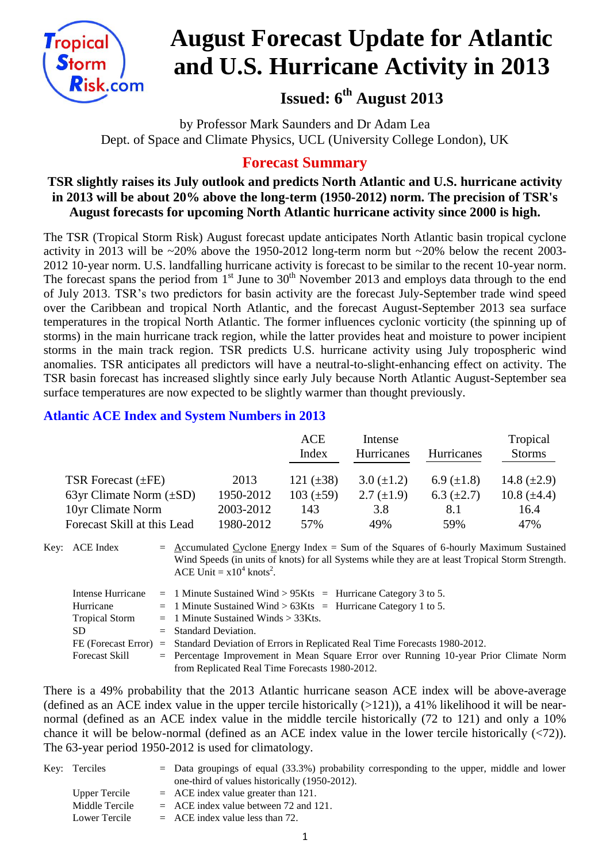

# **August Forecast Update for Atlantic and U.S. Hurricane Activity in 2013**

## **Issued: 6 th August 2013**

by Professor Mark Saunders and Dr Adam Lea Dept. of Space and Climate Physics, UCL (University College London), UK

### **Forecast Summary**

#### **TSR slightly raises its July outlook and predicts North Atlantic and U.S. hurricane activity in 2013 will be about 20% above the long-term (1950-2012) norm. The precision of TSR's August forecasts for upcoming North Atlantic hurricane activity since 2000 is high.**

The TSR (Tropical Storm Risk) August forecast update anticipates North Atlantic basin tropical cyclone activity in 2013 will be ~20% above the 1950-2012 long-term norm but ~20% below the recent 2003- 2012 10-year norm. U.S. landfalling hurricane activity is forecast to be similar to the recent 10-year norm. The forecast spans the period from  $1<sup>st</sup>$  June to  $30<sup>th</sup>$  November 2013 and employs data through to the end of July 2013. TSR's two predictors for basin activity are the forecast July-September trade wind speed over the Caribbean and tropical North Atlantic, and the forecast August-September 2013 sea surface temperatures in the tropical North Atlantic. The former influences cyclonic vorticity (the spinning up of storms) in the main hurricane track region, while the latter provides heat and moisture to power incipient storms in the main track region. TSR predicts U.S. hurricane activity using July tropospheric wind anomalies. TSR anticipates all predictors will have a neutral-to-slight-enhancing effect on activity. The TSR basin forecast has increased slightly since early July because North Atlantic August-September sea surface temperatures are now expected to be slightly warmer than thought previously.

#### **Atlantic ACE Index and System Numbers in 2013**

|                              |           | ACE            | Intense           |                   | Tropical         |  |
|------------------------------|-----------|----------------|-------------------|-------------------|------------------|--|
|                              |           | Index          | <b>Hurricanes</b> | <b>Hurricanes</b> | <b>Storms</b>    |  |
| TSR Forecast $(\pm FE)$      | 2013      | 121 $(\pm 38)$ | $3.0 \ (\pm 1.2)$ | 6.9 $(\pm 1.8)$   | 14.8 $(\pm 2.9)$ |  |
| 63yr Climate Norm $(\pm SD)$ | 1950-2012 | $103 (\pm 59)$ | $2.7 \ (\pm 1.9)$ | 6.3 $(\pm 2.7)$   | 10.8 $(\pm 4.4)$ |  |
| 10yr Climate Norm            | 2003-2012 | 143            | 3.8               | 8.1               | 16.4             |  |
| Forecast Skill at this Lead  | 1980-2012 | 57%            | 49%               | 59%               | 47%              |  |

Key: ACE Index = Accumulated Cyclone Energy Index = Sum of the Squares of 6-hourly Maximum Sustained Wind Speeds (in units of knots) for all Systems while they are at least Tropical Storm Strength. ACE Unit =  $x10^4$  knots<sup>2</sup>.

|                       | Intense Hurricane = 1 Minute Sustained Wind > $95Kts$ = Hurricane Category 3 to 5.              |
|-----------------------|-------------------------------------------------------------------------------------------------|
| Hurricane             | $=$ 1 Minute Sustained Wind > 63Kts = Hurricane Category 1 to 5.                                |
| <b>Tropical Storm</b> | $=$ 1 Minute Sustained Winds $>$ 33Kts.                                                         |
| SD.                   | $=$ Standard Deviation.                                                                         |
|                       | FE (Forecast Error) = Standard Deviation of Errors in Replicated Real Time Forecasts 1980-2012. |
| <b>Forecast Skill</b> | $=$ Percentage Improvement in Mean Square Error over Running 10-year Prior Climate Norm         |
|                       | from Replicated Real Time Forecasts 1980-2012.                                                  |

There is a 49% probability that the 2013 Atlantic hurricane season ACE index will be above-average (defined as an ACE index value in the upper tercile historically  $(>121)$ ), a 41% likelihood it will be nearnormal (defined as an ACE index value in the middle tercile historically (72 to 121) and only a 10% chance it will be below-normal (defined as an ACE index value in the lower tercile historically (<72)). The 63-year period 1950-2012 is used for climatology.

| Key: Terciles  | $=$ Data groupings of equal (33.3%) probability corresponding to the upper, middle and lower |
|----------------|----------------------------------------------------------------------------------------------|
|                | one-third of values historically (1950-2012).                                                |
| Upper Tercile  | $=$ ACE index value greater than 121.                                                        |
| Middle Tercile | $=$ ACE index value between 72 and 121.                                                      |
| Lower Tercile  | $=$ ACE index value less than 72.                                                            |
|                |                                                                                              |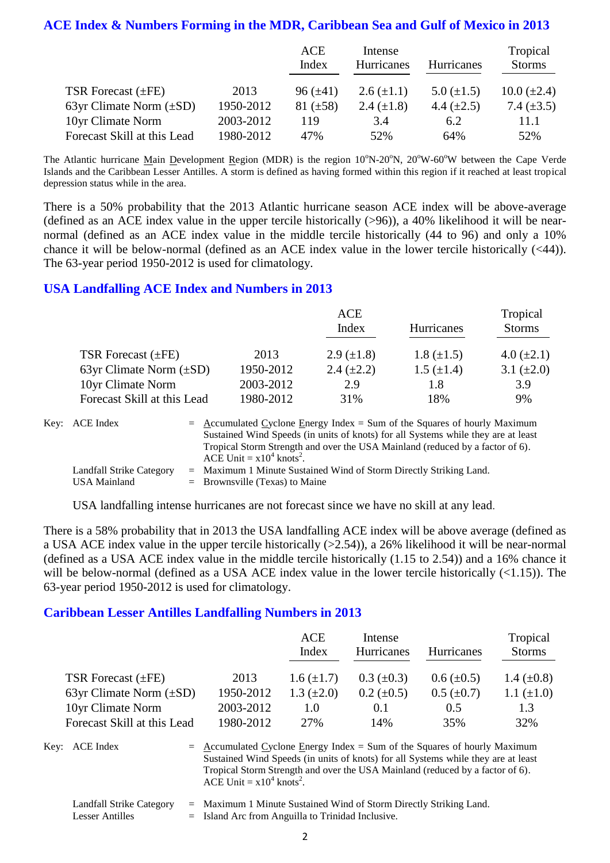#### **ACE Index & Numbers Forming in the MDR, Caribbean Sea and Gulf of Mexico in 2013**

|                              |           | ACE<br>Index  | Intense<br>Hurricanes | <b>Hurricanes</b> | Tropical<br><b>Storms</b> |
|------------------------------|-----------|---------------|-----------------------|-------------------|---------------------------|
| TSR Forecast $(\pm FE)$      | 2013      | $96 (\pm 41)$ | $2.6 (\pm 1.1)$       | 5.0 $(\pm 1.5)$   | $10.0 (\pm 2.4)$          |
| 63yr Climate Norm $(\pm SD)$ | 1950-2012 | $81 (\pm 58)$ | 2.4 $(\pm 1.8)$       | 4.4 $(\pm 2.5)$   | 7.4 $(\pm 3.5)$           |
| 10yr Climate Norm            | 2003-2012 | 119           | 3.4                   | 6.2               | 11.1                      |
| Forecast Skill at this Lead  | 1980-2012 | 47%           | 52%                   | 64%               | 52%                       |

The Atlantic hurricane Main Development Region (MDR) is the region  $10^{\circ}$ N-20<sup>o</sup>N, 20<sup>o</sup>W-60<sup>o</sup>W between the Cape Verde Islands and the Caribbean Lesser Antilles. A storm is defined as having formed within this region if it reached at least tropical depression status while in the area.

There is a 50% probability that the 2013 Atlantic hurricane season ACE index will be above-average (defined as an ACE index value in the upper tercile historically (>96)), a 40% likelihood it will be nearnormal (defined as an ACE index value in the middle tercile historically (44 to 96) and only a 10% chance it will be below-normal (defined as an ACE index value in the lower tercile historically (<44)). The 63-year period 1950-2012 is used for climatology.

#### **USA Landfalling ACE Index and Numbers in 2013**

|                              |           | <b>ACE</b>        | Tropical          |                 |
|------------------------------|-----------|-------------------|-------------------|-----------------|
|                              |           | Index             | <b>Hurricanes</b> | <b>Storms</b>   |
| TSR Forecast $(\pm FE)$      | 2013      | 2.9 $(\pm 1.8)$   | $1.8 (\pm 1.5)$   | 4.0 $(\pm 2.1)$ |
| 63yr Climate Norm $(\pm SD)$ | 1950-2012 | $2.4 \ (\pm 2.2)$ | $1.5 \ (\pm 1.4)$ | 3.1 $(\pm 2.0)$ |
| 10yr Climate Norm            | 2003-2012 | 2.9               | 1.8               | 3.9             |
| Forecast Skill at this Lead  | 1980-2012 | 31%               | 18%               | 9%              |

| Key: ACE Index                                         | $=$ Accumulated Cyclone Energy Index $=$ Sum of the Squares of hourly Maximum<br>Sustained Wind Speeds (in units of knots) for all Systems while they are at least<br>Tropical Storm Strength and over the USA Mainland (reduced by a factor of 6).<br>ACE Unit = $x10^4$ knots <sup>2</sup> . |
|--------------------------------------------------------|------------------------------------------------------------------------------------------------------------------------------------------------------------------------------------------------------------------------------------------------------------------------------------------------|
| <b>Landfall Strike Category</b><br><b>USA Mainland</b> | $=$ Maximum 1 Minute Sustained Wind of Storm Directly Striking Land.<br>$=$ Brownsville (Texas) to Maine                                                                                                                                                                                       |

USA landfalling intense hurricanes are not forecast since we have no skill at any lead.

There is a 58% probability that in 2013 the USA landfalling ACE index will be above average (defined as a USA ACE index value in the upper tercile historically (>2.54)), a 26% likelihood it will be near-normal (defined as a USA ACE index value in the middle tercile historically (1.15 to 2.54)) and a 16% chance it will be below-normal (defined as a USA ACE index value in the lower tercile historically  $(\langle 1.15 \rangle)$ . The 63-year period 1950-2012 is used for climatology.

#### **Caribbean Lesser Antilles Landfalling Numbers in 2013**

|                              |           | ACE<br>Index      | Intense<br>Hurricanes | <b>Hurricanes</b> | Tropical<br><b>Storms</b> |
|------------------------------|-----------|-------------------|-----------------------|-------------------|---------------------------|
| TSR Forecast $(\pm FE)$      | 2013      | $1.6 \ (\pm 1.7)$ | $0.3~(\pm 0.3)$       | $0.6 (\pm 0.5)$   | 1.4 $(\pm 0.8)$           |
| 63yr Climate Norm $(\pm SD)$ | 1950-2012 | 1.3 $(\pm 2.0)$   | $0.2 \ (\pm 0.5)$     | $0.5 \ (\pm 0.7)$ | 1.1 $(\pm 1.0)$           |
| 10yr Climate Norm            | 2003-2012 | 1.0               | 0.1                   | 0.5               | 1.3                       |
| Forecast Skill at this Lead  | 1980-2012 | 2.7%              | 14%                   | 35%               | 32%                       |

Key:  $ACE Index = Accumulated Cyclone Energy Index = Sum of the Squares of hourly Maximum$ Sustained Wind Speeds (in units of knots) for all Systems while they are at least Tropical Storm Strength and over the USA Mainland (reduced by a factor of 6). ACE Unit =  $x10^4$  knots<sup>2</sup>.

Landfall Strike Category = Maximum 1 Minute Sustained Wind of Storm Directly Striking Land.

Lesser Antilles  $=$  Island Arc from Anguilla to Trinidad Inclusive.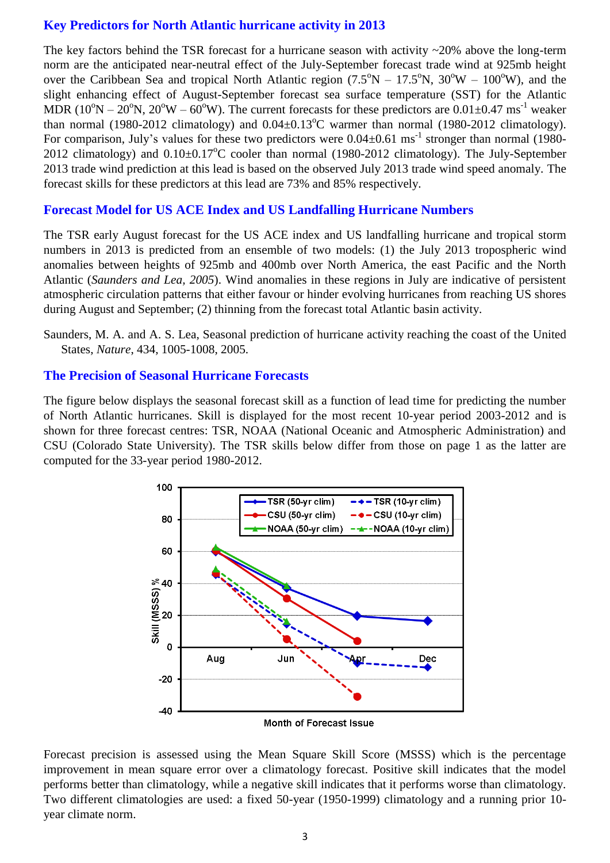#### **Key Predictors for North Atlantic hurricane activity in 2013**

The key factors behind the TSR forecast for a hurricane season with activity  $\sim$ 20% above the long-term norm are the anticipated near-neutral effect of the July-September forecast trade wind at 925mb height over the Caribbean Sea and tropical North Atlantic region  $(7.5^{\circ}N - 17.5^{\circ}N, 30^{\circ}W - 100^{\circ}W)$ , and the slight enhancing effect of August-September forecast sea surface temperature (SST) for the Atlantic MDR ( $10^{\circ}$ N –  $20^{\circ}$ N,  $20^{\circ}$ W –  $60^{\circ}$ W). The current forecasts for these predictors are  $0.01\pm0.47$  ms<sup>-1</sup> weaker than normal (1980-2012 climatology) and  $0.04\pm0.13^{\circ}$ C warmer than normal (1980-2012 climatology). For comparison, July's values for these two predictors were  $0.04 \pm 0.61$  ms<sup>-1</sup> stronger than normal (1980-2012 climatology) and  $0.10\pm0.17^{\circ}$ C cooler than normal (1980-2012 climatology). The July-September 2013 trade wind prediction at this lead is based on the observed July 2013 trade wind speed anomaly. The forecast skills for these predictors at this lead are 73% and 85% respectively.

#### **Forecast Model for US ACE Index and US Landfalling Hurricane Numbers**

The TSR early August forecast for the US ACE index and US landfalling hurricane and tropical storm numbers in 2013 is predicted from an ensemble of two models: (1) the July 2013 tropospheric wind anomalies between heights of 925mb and 400mb over North America, the east Pacific and the North Atlantic (*Saunders and Lea, 2005*). Wind anomalies in these regions in July are indicative of persistent atmospheric circulation patterns that either favour or hinder evolving hurricanes from reaching US shores during August and September; (2) thinning from the forecast total Atlantic basin activity.

#### **The Precision of Seasonal Hurricane Forecasts**

The figure below displays the seasonal forecast skill as a function of lead time for predicting the number of North Atlantic hurricanes. Skill is displayed for the most recent 10-year period 2003-2012 and is shown for three forecast centres: TSR, NOAA (National Oceanic and Atmospheric Administration) and CSU (Colorado State University). The TSR skills below differ from those on page 1 as the latter are computed for the 33-year period 1980-2012.



**Month of Forecast Issue** 

Forecast precision is assessed using the Mean Square Skill Score (MSSS) which is the percentage improvement in mean square error over a climatology forecast. Positive skill indicates that the model performs better than climatology, while a negative skill indicates that it performs worse than climatology. Two different climatologies are used: a fixed 50-year (1950-1999) climatology and a running prior 10 year climate norm.

Saunders, M. A. and A. S. Lea, Seasonal prediction of hurricane activity reaching the coast of the United States, *Nature*, 434, 1005-1008, 2005.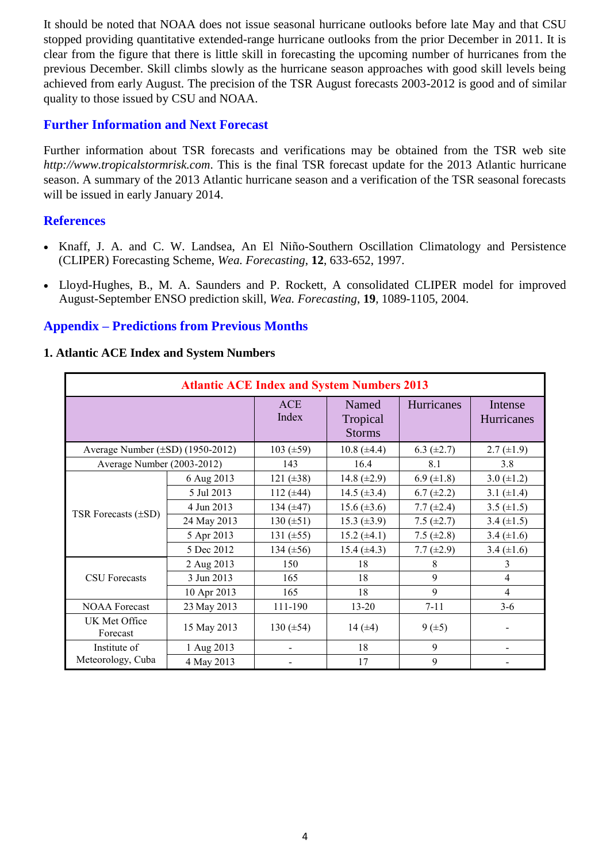It should be noted that NOAA does not issue seasonal hurricane outlooks before late May and that CSU stopped providing quantitative extended-range hurricane outlooks from the prior December in 2011. It is clear from the figure that there is little skill in forecasting the upcoming number of hurricanes from the previous December. Skill climbs slowly as the hurricane season approaches with good skill levels being achieved from early August. The precision of the TSR August forecasts 2003-2012 is good and of similar quality to those issued by CSU and NOAA.

#### **Further Information and Next Forecast**

Further information about TSR forecasts and verifications may be obtained from the TSR web site *http://www.tropicalstormrisk.com*. This is the final TSR forecast update for the 2013 Atlantic hurricane season. A summary of the 2013 Atlantic hurricane season and a verification of the TSR seasonal forecasts will be issued in early January 2014.

#### **References**

- Knaff, J. A. and C. W. Landsea, An El Niño-Southern Oscillation Climatology and Persistence (CLIPER) Forecasting Scheme, *Wea. Forecasting*, **12**, 633-652, 1997.
- [Lloyd-Hughes, B., M. A. Saunders and P. Rockett, A consolidated CLIPER model for improved](http://www.tropicalstormrisk.com/docs/Lloyd-Hughesetal2004.pdf)  [August-September ENSO prediction skill,](http://www.tropicalstormrisk.com/docs/Lloyd-Hughesetal2004.pdf) *Wea. Forecasting*, **19**, 1089-1105, 2004.

#### **Appendix – Predictions from Previous Months**

#### **1. Atlantic ACE Index and System Numbers**

| <b>Atlantic ACE Index and System Numbers 2013</b> |             |                |                                    |                   |                       |  |  |
|---------------------------------------------------|-------------|----------------|------------------------------------|-------------------|-----------------------|--|--|
|                                                   |             | ACE<br>Index   | Named<br>Tropical<br><b>Storms</b> | <b>Hurricanes</b> | Intense<br>Hurricanes |  |  |
| Average Number (±SD) (1950-2012)                  |             | 103 $(\pm 59)$ | $10.8 (\pm 4.4)$                   | 6.3 $(\pm 2.7)$   | $2.7 (\pm 1.9)$       |  |  |
| Average Number (2003-2012)                        |             | 143            | 16.4                               | 8.1               | 3.8                   |  |  |
|                                                   | 6 Aug 2013  | 121 $(\pm 38)$ | 14.8 $(\pm 2.9)$                   | 6.9 $(\pm 1.8)$   | 3.0 $(\pm 1.2)$       |  |  |
|                                                   | 5 Jul 2013  | 112 $(\pm 44)$ | 14.5 $(\pm 3.4)$                   | $6.7 (\pm 2.2)$   | 3.1 $(\pm 1.4)$       |  |  |
|                                                   | 4 Jun 2013  | 134 $(\pm 47)$ | $15.6 (\pm 3.6)$                   | 7.7 $(\pm 2.4)$   | 3.5 $(\pm 1.5)$       |  |  |
| TSR Forecasts $(\pm SD)$                          | 24 May 2013 | $130 (\pm 51)$ | 15.3 $(\pm 3.9)$                   | 7.5 $(\pm 2.7)$   | 3.4 $(\pm 1.5)$       |  |  |
|                                                   | 5 Apr 2013  | 131 $(\pm 55)$ | $15.2 (\pm 4.1)$                   | 7.5 $(\pm 2.8)$   | 3.4 $(\pm 1.6)$       |  |  |
|                                                   | 5 Dec 2012  | 134 $(\pm 56)$ | 15.4 $(\pm 4.3)$                   | 7.7 $(\pm 2.9)$   | 3.4 $(\pm 1.6)$       |  |  |
|                                                   | 2 Aug 2013  | 150            | 18                                 | 8                 | 3                     |  |  |
| <b>CSU</b> Forecasts                              | 3 Jun 2013  | 165            | 18                                 | 9                 | 4                     |  |  |
|                                                   | 10 Apr 2013 | 165            | 18                                 | 9                 | $\overline{4}$        |  |  |
| <b>NOAA</b> Forecast                              | 23 May 2013 | 111-190        | $13 - 20$                          | $7 - 11$          | $3-6$                 |  |  |
| UK Met Office<br>Forecast                         | 15 May 2013 | 130 $(\pm 54)$ | 14 $(\pm 4)$                       | $9 (+5)$          |                       |  |  |
| Institute of                                      | 1 Aug 2013  |                | 18                                 | 9                 |                       |  |  |
| Meteorology, Cuba                                 | 4 May 2013  |                | 17                                 | 9                 |                       |  |  |